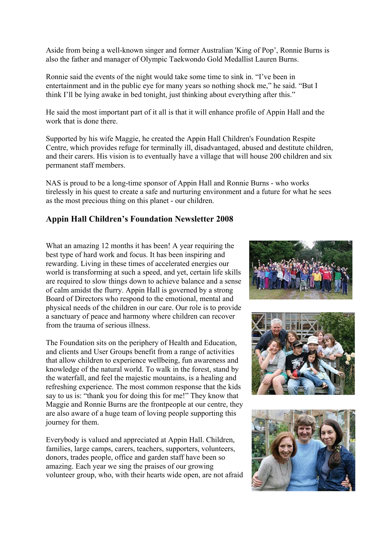Aside from being a well-known singer and former Australian 'King of Pop', Ronnie Burns is also the father and manager of Olympic Taekwondo Gold Medallist Lauren Burns.

Ronnie said the events of the night would take some time to sink in. "I've been in entertainment and in the public eye for many years so nothing shock me," he said. "But I think I'll be lying awake in bed tonight, just thinking about everything after this."

He said the most important part of it all is that it will enhance profile of Appin Hall and the work that is done there.

Supported by his wife Maggie, he created the Appin Hall Children's Foundation Respite Centre, which provides refuge for terminally ill, disadvantaged, abused and destitute children, and their carers. His vision is to eventually have a village that will house 200 children and six permanent staff members.

NAS is proud to be a long-time sponsor of Appin Hall and Ronnie Burns - who works tirelessly in his quest to create a safe and nurturing environment and a future for what he sees as the most precious thing on this planet - our children.

## **Appin Hall Children's Foundation Newsletter 2008**

What an amazing 12 months it has been! A year requiring the best type of hard work and focus. It has been inspiring and rewarding. Living in these times of accelerated energies our world is transforming at such a speed, and yet, certain life skills are required to slow things down to achieve balance and a sense of calm amidst the flurry. Appin Hall is governed by a strong Board of Directors who respond to the emotional, mental and physical needs of the children in our care. Our role is to provide a sanctuary of peace and harmony where children can recover from the trauma of serious illness.

The Foundation sits on the periphery of Health and Education, and clients and User Groups benefit from a range of activities that allow children to experience wellbeing, fun awareness and knowledge of the natural world. To walk in the forest, stand by the waterfall, and feel the majestic mountains, is a healing and refreshing experience. The most common response that the kids say to us is: "thank you for doing this for me!" They know that Maggie and Ronnie Burns are the frontpeople at our centre, they are also aware of a huge team of loving people supporting this journey for them.

Everybody is valued and appreciated at Appin Hall. Children, families, large camps, carers, teachers, supporters, volunteers, donors, trades people, office and garden staff have been so amazing. Each year we sing the praises of our growing volunteer group, who, with their hearts wide open, are not afraid





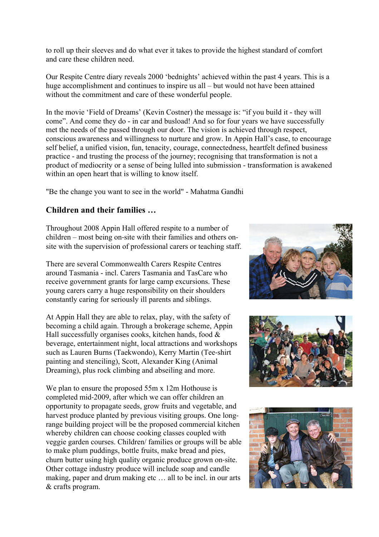to roll up their sleeves and do what ever it takes to provide the highest standard of comfort and care these children need.

Our Respite Centre diary reveals 2000 'bednights' achieved within the past 4 years. This is a huge accomplishment and continues to inspire us all – but would not have been attained without the commitment and care of these wonderful people.

In the movie 'Field of Dreams' (Kevin Costner) the message is: "if you build it - they will come". And come they do - in car and busload! And so for four years we have successfully met the needs of the passed through our door. The vision is achieved through respect, conscious awareness and willingness to nurture and grow. In Appin Hall's case, to encourage self belief, a unified vision, fun, tenacity, courage, connectedness, heartfelt defined business practice - and trusting the process of the journey; recognising that transformation is not a product of mediocrity or a sense of being lulled into submission - transformation is awakened within an open heart that is willing to know itself.

"Be the change you want to see in the world" - Mahatma Gandhi

## **Children and their families …**

Throughout 2008 Appin Hall offered respite to a number of children – most being on-site with their families and others onsite with the supervision of professional carers or teaching staff.

There are several Commonwealth Carers Respite Centres around Tasmania - incl. Carers Tasmania and TasCare who receive government grants for large camp excursions. These young carers carry a huge responsibility on their shoulders constantly caring for seriously ill parents and siblings.

At Appin Hall they are able to relax, play, with the safety of becoming a child again. Through a brokerage scheme, Appin Hall successfully organises cooks, kitchen hands, food  $\&$ beverage, entertainment night, local attractions and workshops such as Lauren Burns (Taekwondo), Kerry Martin (Tee-shirt painting and stenciling), Scott, Alexander King (Animal Dreaming), plus rock climbing and abseiling and more.

We plan to ensure the proposed 55m x 12m Hothouse is completed mid-2009, after which we can offer children an opportunity to propagate seeds, grow fruits and vegetable, and harvest produce planted by previous visiting groups. One longrange building project will be the proposed commercial kitchen whereby children can choose cooking classes coupled with veggie garden courses. Children/ families or groups will be able to make plum puddings, bottle fruits, make bread and pies, churn butter using high quality organic produce grown on-site. Other cottage industry produce will include soap and candle making, paper and drum making etc ... all to be incl. in our arts & crafts program.